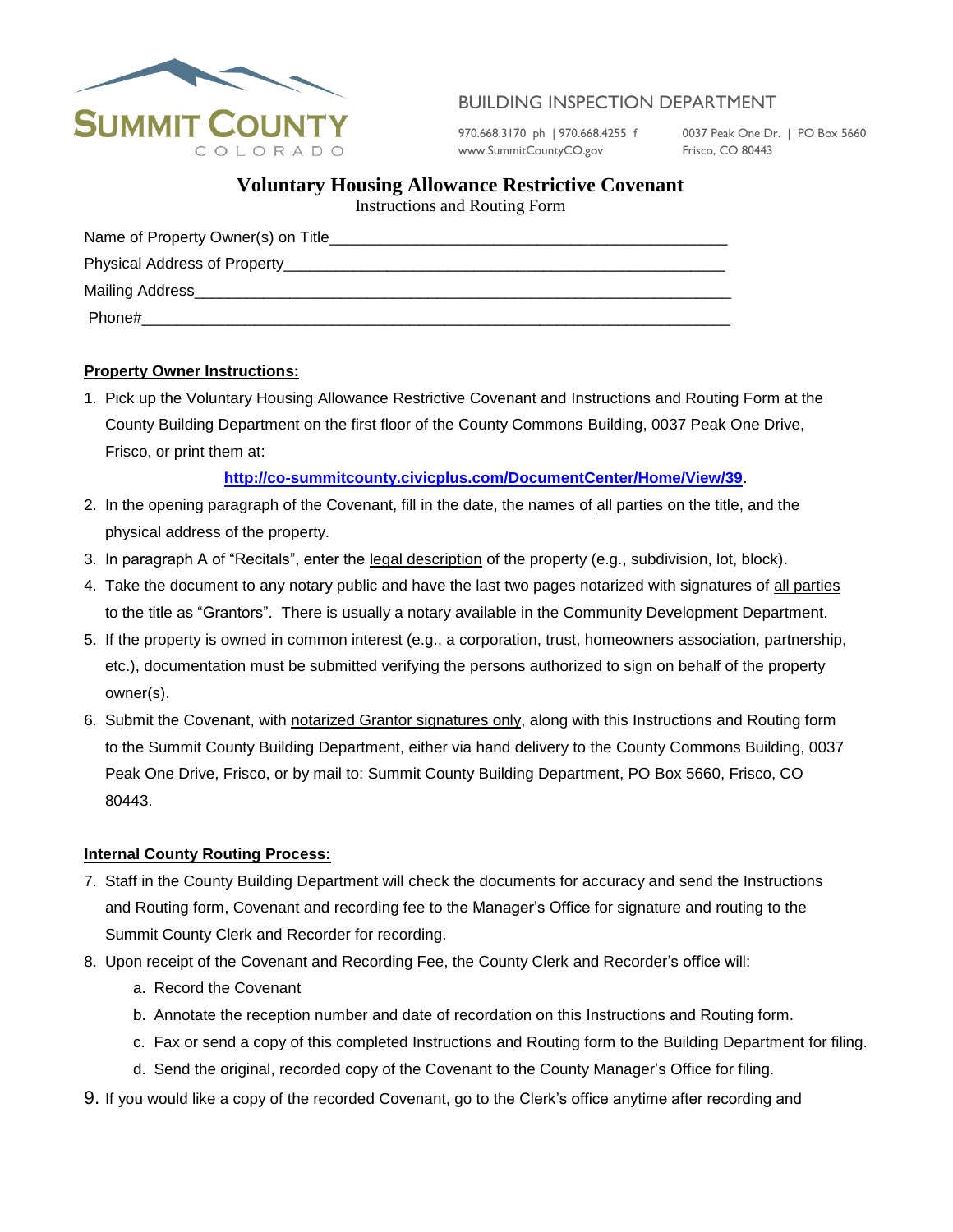

# BUILDING INSPECTION DEPARTMENT

970.668.3170 ph | 970.668.4255 f 0037 Peak One Dr. | PO Box 5660 www.SummitCountyCO.gov Frisco, CO 80443

## **Voluntary Housing Allowance Restrictive Covenant**

Instructions and Routing Form

| Name of Property Owner(s) on Title                                                               |  |
|--------------------------------------------------------------------------------------------------|--|
| Physical Address of Property__________                                                           |  |
| Mailing Address <b>Mailing</b> Address <b>Mailing</b> Address <b>Mailing</b> Address <b>Mail</b> |  |
| Phone#                                                                                           |  |

### **Property Owner Instructions:**

1. Pick up the Voluntary Housing Allowance Restrictive Covenant and Instructions and Routing Form at the County Building Department on the first floor of the County Commons Building, 0037 Peak One Drive, Frisco, or print them at:

## **<http://co-summitcounty.civicplus.com/DocumentCenter/Home/View/39>**.

- 2. In the opening paragraph of the Covenant, fill in the date, the names of all parties on the title, and the physical address of the property.
- 3. In paragraph A of "Recitals", enter the legal description of the property (e.g., subdivision, lot, block).
- 4. Take the document to any notary public and have the last two pages notarized with signatures of all parties to the title as "Grantors". There is usually a notary available in the Community Development Department.
- 5. If the property is owned in common interest (e.g., a corporation, trust, homeowners association, partnership, etc.), documentation must be submitted verifying the persons authorized to sign on behalf of the property owner(s).
- 6. Submit the Covenant, with notarized Grantor signatures only, along with this Instructions and Routing form to the Summit County Building Department, either via hand delivery to the County Commons Building, 0037 Peak One Drive, Frisco, or by mail to: Summit County Building Department, PO Box 5660, Frisco, CO 80443.

### **Internal County Routing Process:**

- 7. Staff in the County Building Department will check the documents for accuracy and send the Instructions and Routing form, Covenant and recording fee to the Manager's Office for signature and routing to the Summit County Clerk and Recorder for recording.
- 8. Upon receipt of the Covenant and Recording Fee, the County Clerk and Recorder's office will:
	- a. Record the Covenant
	- b. Annotate the reception number and date of recordation on this Instructions and Routing form.
	- c. Fax or send a copy of this completed Instructions and Routing form to the Building Department for filing.
	- d. Send the original, recorded copy of the Covenant to the County Manager's Office for filing.
- 9. If you would like a copy of the recorded Covenant, go to the Clerk's office anytime after recording and